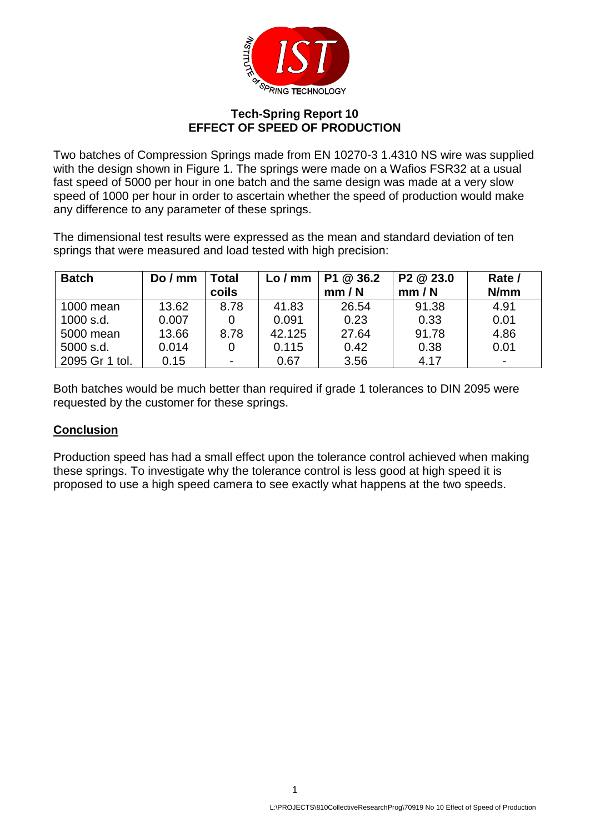

## **Tech-Spring Report 10 EFFECT OF SPEED OF PRODUCTION**

Two batches of Compression Springs made from EN 10270-3 1.4310 NS wire was supplied with the design shown in Figure 1. The springs were made on a Wafios FSR32 at a usual fast speed of 5000 per hour in one batch and the same design was made at a very slow speed of 1000 per hour in order to ascertain whether the speed of production would make any difference to any parameter of these springs.

The dimensional test results were expressed as the mean and standard deviation of ten springs that were measured and load tested with high precision:

| <b>Batch</b>   | DoI'<br>mm | Total<br>coils           | Lo / mm | P1 @ 36.2<br>mm/N | P <sub>2</sub> @ 23.0<br>mm / N | Rate /<br>N/mm |
|----------------|------------|--------------------------|---------|-------------------|---------------------------------|----------------|
| 1000 mean      | 13.62      | 8.78                     | 41.83   | 26.54             | 91.38                           | 4.91           |
| 1000 s.d.      | 0.007      |                          | 0.091   | 0.23              | 0.33                            | 0.01           |
| 5000 mean      | 13.66      | 8.78                     | 42.125  | 27.64             | 91.78                           | 4.86           |
| 5000 s.d.      | 0.014      |                          | 0.115   | 0.42              | 0.38                            | 0.01           |
| 2095 Gr 1 tol. | 0.15       | $\overline{\phantom{0}}$ | 0.67    | 3.56              | 4.17                            |                |

Both batches would be much better than required if grade 1 tolerances to DIN 2095 were requested by the customer for these springs.

## **Conclusion**

Production speed has had a small effect upon the tolerance control achieved when making these springs. To investigate why the tolerance control is less good at high speed it is proposed to use a high speed camera to see exactly what happens at the two speeds.